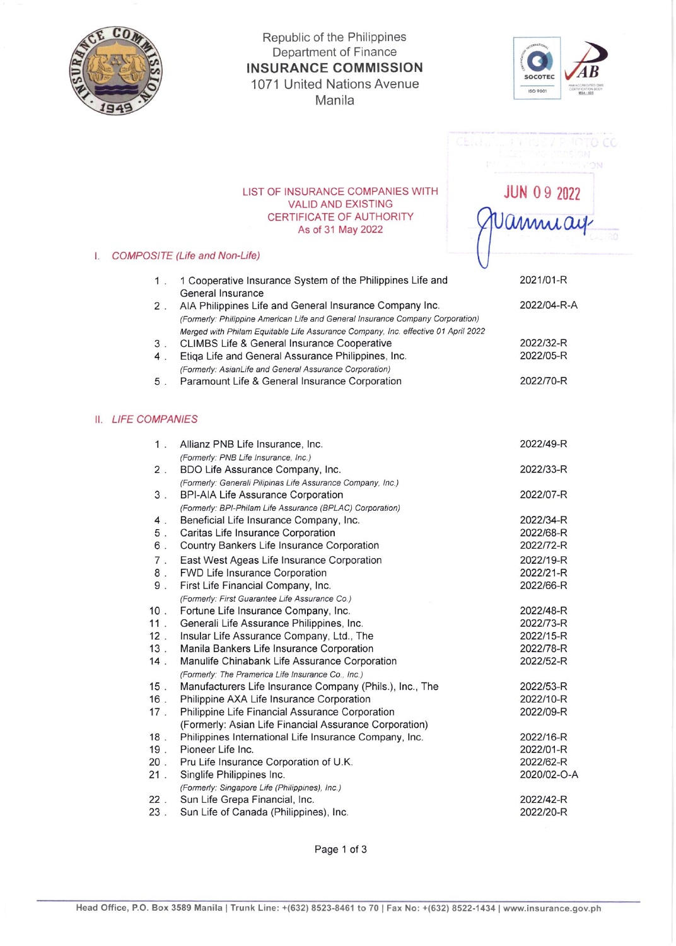

## Republic of the Philippines Department of Finance **INSURANCE COMMISSION** 1071 United Nations Avenue Manila



**JUN 09 2022** 

Vannuay

## LIST OF INSURANCE COMPANIES WITH **VALID AND EXISTING** CERTIFICATE OF AUTHORITY As of 31 May 2022

## I. COMPOSITE (Life and Non-Life)

|                | 1 Cooperative Insurance System of the Philippines Life and                        | 2021/01-R   |
|----------------|-----------------------------------------------------------------------------------|-------------|
|                | General Insurance                                                                 |             |
| $2$ .          | AIA Philippines Life and General Insurance Company Inc.                           | 2022/04-R-A |
|                | (Formerly: Philippine American Life and General Insurance Company Corporation)    |             |
|                | Merged with Philam Equitable Life Assurance Company, Inc. effective 01 April 2022 |             |
| 3 <sup>1</sup> | <b>CLIMBS Life &amp; General Insurance Cooperative</b>                            | 2022/32-R   |
| 4.             | Etiga Life and General Assurance Philippines, Inc.                                | 2022/05-R   |
|                | (Formerly: AsianLife and General Assurance Corporation)                           |             |
| 5              | Paramount Life & General Insurance Corporation                                    | 2022/70-R   |

## **II.** LIFE COMPANIES

|                                                        | 2022/49-R                                                                                                                                                                                                                                                                                                                                                                                                                                                                                                                                                                                                                                                                                                                                                                                                                                   |
|--------------------------------------------------------|---------------------------------------------------------------------------------------------------------------------------------------------------------------------------------------------------------------------------------------------------------------------------------------------------------------------------------------------------------------------------------------------------------------------------------------------------------------------------------------------------------------------------------------------------------------------------------------------------------------------------------------------------------------------------------------------------------------------------------------------------------------------------------------------------------------------------------------------|
|                                                        |                                                                                                                                                                                                                                                                                                                                                                                                                                                                                                                                                                                                                                                                                                                                                                                                                                             |
|                                                        | 2022/33-R                                                                                                                                                                                                                                                                                                                                                                                                                                                                                                                                                                                                                                                                                                                                                                                                                                   |
|                                                        |                                                                                                                                                                                                                                                                                                                                                                                                                                                                                                                                                                                                                                                                                                                                                                                                                                             |
|                                                        | 2022/07-R                                                                                                                                                                                                                                                                                                                                                                                                                                                                                                                                                                                                                                                                                                                                                                                                                                   |
|                                                        |                                                                                                                                                                                                                                                                                                                                                                                                                                                                                                                                                                                                                                                                                                                                                                                                                                             |
|                                                        | 2022/34-R                                                                                                                                                                                                                                                                                                                                                                                                                                                                                                                                                                                                                                                                                                                                                                                                                                   |
|                                                        | 2022/68-R                                                                                                                                                                                                                                                                                                                                                                                                                                                                                                                                                                                                                                                                                                                                                                                                                                   |
|                                                        |                                                                                                                                                                                                                                                                                                                                                                                                                                                                                                                                                                                                                                                                                                                                                                                                                                             |
|                                                        | 2022/72-R                                                                                                                                                                                                                                                                                                                                                                                                                                                                                                                                                                                                                                                                                                                                                                                                                                   |
|                                                        | 2022/19-R                                                                                                                                                                                                                                                                                                                                                                                                                                                                                                                                                                                                                                                                                                                                                                                                                                   |
|                                                        | 2022/21-R                                                                                                                                                                                                                                                                                                                                                                                                                                                                                                                                                                                                                                                                                                                                                                                                                                   |
|                                                        | 2022/66-R                                                                                                                                                                                                                                                                                                                                                                                                                                                                                                                                                                                                                                                                                                                                                                                                                                   |
|                                                        |                                                                                                                                                                                                                                                                                                                                                                                                                                                                                                                                                                                                                                                                                                                                                                                                                                             |
|                                                        | 2022/48-R                                                                                                                                                                                                                                                                                                                                                                                                                                                                                                                                                                                                                                                                                                                                                                                                                                   |
|                                                        | 2022/73-R                                                                                                                                                                                                                                                                                                                                                                                                                                                                                                                                                                                                                                                                                                                                                                                                                                   |
|                                                        | 2022/15-R                                                                                                                                                                                                                                                                                                                                                                                                                                                                                                                                                                                                                                                                                                                                                                                                                                   |
| Manila Bankers Life Insurance Corporation              | 2022/78-R                                                                                                                                                                                                                                                                                                                                                                                                                                                                                                                                                                                                                                                                                                                                                                                                                                   |
|                                                        | 2022/52-R                                                                                                                                                                                                                                                                                                                                                                                                                                                                                                                                                                                                                                                                                                                                                                                                                                   |
| (Formerly: The Pramerica Life Insurance Co., Inc.)     |                                                                                                                                                                                                                                                                                                                                                                                                                                                                                                                                                                                                                                                                                                                                                                                                                                             |
|                                                        | 2022/53-R                                                                                                                                                                                                                                                                                                                                                                                                                                                                                                                                                                                                                                                                                                                                                                                                                                   |
| Philippine AXA Life Insurance Corporation              | 2022/10-R                                                                                                                                                                                                                                                                                                                                                                                                                                                                                                                                                                                                                                                                                                                                                                                                                                   |
| Philippine Life Financial Assurance Corporation        | 2022/09-R                                                                                                                                                                                                                                                                                                                                                                                                                                                                                                                                                                                                                                                                                                                                                                                                                                   |
| (Formerly: Asian Life Financial Assurance Corporation) |                                                                                                                                                                                                                                                                                                                                                                                                                                                                                                                                                                                                                                                                                                                                                                                                                                             |
| Philippines International Life Insurance Company, Inc. | 2022/16-R                                                                                                                                                                                                                                                                                                                                                                                                                                                                                                                                                                                                                                                                                                                                                                                                                                   |
| Pioneer Life Inc.                                      | 2022/01-R                                                                                                                                                                                                                                                                                                                                                                                                                                                                                                                                                                                                                                                                                                                                                                                                                                   |
| Pru Life Insurance Corporation of U.K.                 | 2022/62-R                                                                                                                                                                                                                                                                                                                                                                                                                                                                                                                                                                                                                                                                                                                                                                                                                                   |
| Singlife Philippines Inc.                              | 2020/02-O-A                                                                                                                                                                                                                                                                                                                                                                                                                                                                                                                                                                                                                                                                                                                                                                                                                                 |
| (Formerly: Singapore Life (Philippines), Inc.)         |                                                                                                                                                                                                                                                                                                                                                                                                                                                                                                                                                                                                                                                                                                                                                                                                                                             |
| Sun Life Grepa Financial, Inc.                         | 2022/42-R                                                                                                                                                                                                                                                                                                                                                                                                                                                                                                                                                                                                                                                                                                                                                                                                                                   |
| Sun Life of Canada (Philippines), Inc.                 | 2022/20-R                                                                                                                                                                                                                                                                                                                                                                                                                                                                                                                                                                                                                                                                                                                                                                                                                                   |
|                                                        | Allianz PNB Life Insurance, Inc.<br>(Formerly: PNB Life Insurance, Inc.)<br>BDO Life Assurance Company, Inc.<br>(Formerly: Generali Pilipinas Life Assurance Company, Inc.)<br><b>BPI-AIA Life Assurance Corporation</b><br>(Formerly: BPI-Philam Life Assurance (BPLAC) Corporation)<br>Beneficial Life Insurance Company, Inc.<br>Caritas Life Insurance Corporation<br>Country Bankers Life Insurance Corporation<br>East West Ageas Life Insurance Corporation<br>FWD Life Insurance Corporation<br>First Life Financial Company, Inc.<br>(Formerly: First Guarantee Life Assurance Co.)<br>Fortune Life Insurance Company, Inc.<br>Generali Life Assurance Philippines, Inc.<br>Insular Life Assurance Company, Ltd., The<br>Manulife Chinabank Life Assurance Corporation<br>Manufacturers Life Insurance Company (Phils.), Inc., The |

Page 1 of 3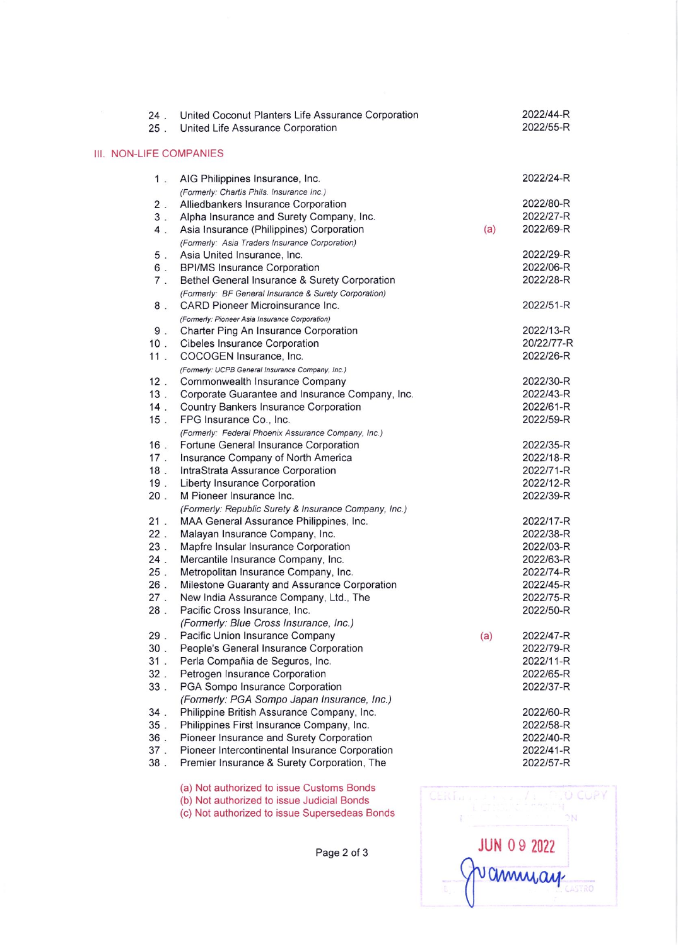| 24.<br>$25$ .             | United Coconut Planters Life Assurance Corporation<br>United Life Assurance Corporation      |     | 2022/44-R<br>2022/55-R |
|---------------------------|----------------------------------------------------------------------------------------------|-----|------------------------|
| <b>NON-LIFE COMPANIES</b> |                                                                                              |     |                        |
| $1$ .                     | AIG Philippines Insurance, Inc.                                                              |     | 2022/24-R              |
|                           | (Formerly: Chartis Phils. Insurance Inc.)                                                    |     |                        |
| $2$ .                     | Alliedbankers Insurance Corporation                                                          |     | 2022/80-R              |
| 3 <sup>1</sup>            | Alpha Insurance and Surety Company, Inc.                                                     |     | 2022/27-R              |
| $4$ .                     | Asia Insurance (Philippines) Corporation                                                     | (a) | 2022/69-R              |
|                           | (Formerly: Asia Traders Insurance Corporation)                                               |     |                        |
| 5 <sub>1</sub>            | Asia United Insurance, Inc.                                                                  |     | 2022/29-R              |
| 6.                        | <b>BPI/MS Insurance Corporation</b>                                                          |     | 2022/06-R              |
| $7$ .                     | Bethel General Insurance & Surety Corporation                                                |     | 2022/28-R              |
|                           | (Formerly: BF General Insurance & Surety Corporation)                                        |     |                        |
| 8.                        | CARD Pioneer Microinsurance Inc.                                                             |     | 2022/51-R              |
|                           | (Formerly: Pioneer Asia Insurance Corporation)                                               |     |                        |
| 9.                        | Charter Ping An Insurance Corporation                                                        |     | 2022/13-R              |
| $10$ .                    | Cibeles Insurance Corporation                                                                |     | 20/22/77-R             |
| 11.                       | COCOGEN Insurance, Inc.                                                                      |     | 2022/26-R              |
|                           | (Formerly: UCPB General Insurance Company, Inc.)                                             |     |                        |
| 12.                       | Commonwealth Insurance Company                                                               |     | 2022/30-R              |
| 13.                       | Corporate Guarantee and Insurance Company, Inc.                                              |     | 2022/43-R              |
| $14$ .                    | Country Bankers Insurance Corporation                                                        |     | 2022/61-R              |
| $15$ .                    | FPG Insurance Co., Inc.                                                                      |     | 2022/59-R              |
| 16.                       | (Formerly: Federal Phoenix Assurance Company, Inc.)<br>Fortune General Insurance Corporation |     | 2022/35-R              |
| $17$ .                    | Insurance Company of North America                                                           |     | 2022/18-R              |
| 18.                       | IntraStrata Assurance Corporation                                                            |     | 2022/71-R              |
| 19.                       | Liberty Insurance Corporation                                                                |     | 2022/12-R              |
| 20.                       | M Pioneer Insurance Inc.                                                                     |     | 2022/39-R              |
|                           | (Formerly: Republic Surety & Insurance Company, Inc.)                                        |     |                        |
| 21.                       | MAA General Assurance Philippines, Inc.                                                      |     | 2022/17-R              |
| 22.                       | Malayan Insurance Company, Inc.                                                              |     | 2022/38-R              |
| 23.                       | Mapfre Insular Insurance Corporation                                                         |     | 2022/03-R              |
| $24$ .                    | Mercantile Insurance Company, Inc.                                                           |     | 2022/63-R              |
| $25$ .                    | Metropolitan Insurance Company, Inc.                                                         |     | 2022/74-R              |
| $26$ .                    | Milestone Guaranty and Assurance Corporation                                                 |     | 2022/45-R              |
| 27.                       | New India Assurance Company, Ltd., The                                                       |     | 2022/75-R              |
| $28$ .                    | Pacific Cross Insurance, Inc.                                                                |     | 2022/50-R              |
|                           | (Formerly: Blue Cross Insurance, Inc.)                                                       |     |                        |
| 29.                       | Pacific Union Insurance Company                                                              | (a) | 2022/47-R              |
| 30.                       | People's General Insurance Corporation                                                       |     | 2022/79-R              |
| 31.                       | Perla Compañia de Seguros, Inc.                                                              |     | 2022/11-R              |
| 32.                       | Petrogen Insurance Corporation                                                               |     | 2022/65-R              |
| 33.                       | PGA Sompo Insurance Corporation                                                              |     | 2022/37-R              |
|                           | (Formerly: PGA Sompo Japan Insurance, Inc.)                                                  |     |                        |
| 34.                       | Philippine British Assurance Company, Inc.                                                   |     | 2022/60-R              |
| $35$ .                    | Philippines First Insurance Company, Inc.                                                    |     | 2022/58-R              |
| 36.                       | Pioneer Insurance and Surety Corporation                                                     |     | 2022/40-R              |
| 37.                       | Pioneer Intercontinental Insurance Corporation                                               |     | 2022/41-R              |
| 38.                       | Premier Insurance & Surety Corporation, The                                                  |     | 2022/57-R              |
|                           |                                                                                              |     |                        |

Ш.



Page 2 of 3

(a) Not authorized to issue Customs Bonds

(b) Not authorized to issue Judicial Bonds (c) Not authorized to issue Supersedeas Bonds